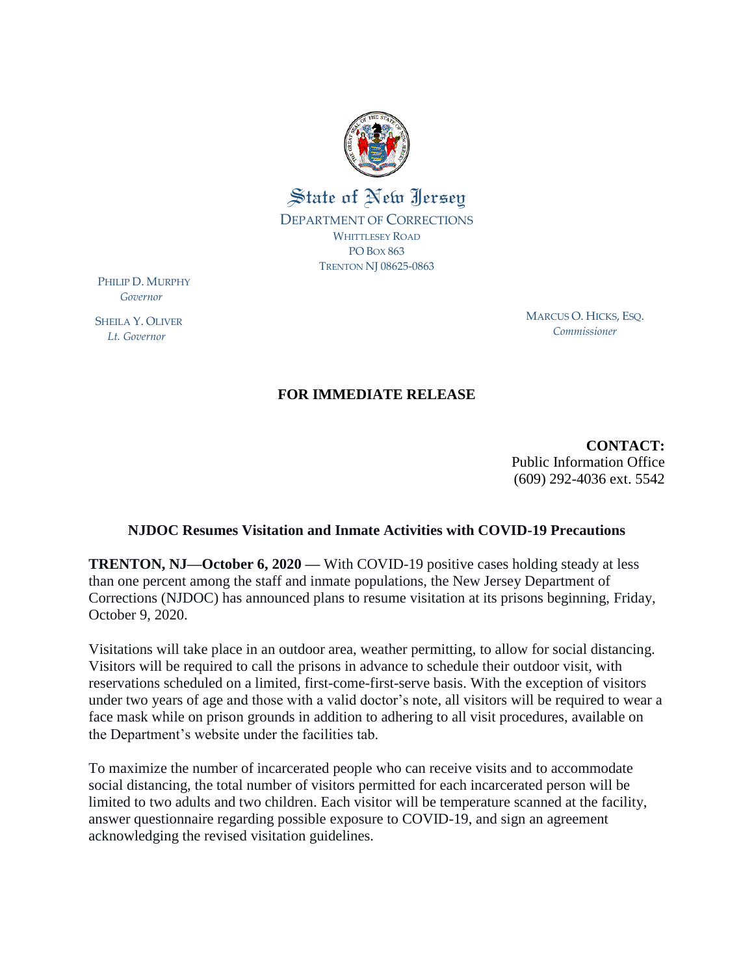

PHILIP D. MURPHY  *Governor*

SHEILA Y. OLIVER  *Lt. Governor*

MARCUS O. HICKS, ESQ. *Commissioner*

## **FOR IMMEDIATE RELEASE**

**CONTACT:**  Public Information Office (609) 292-4036 ext. 5542

## **NJDOC Resumes Visitation and Inmate Activities with COVID-19 Precautions**

**TRENTON, NJ—October 6, 2020** — With COVID-19 positive cases holding steady at less than one percent among the staff and inmate populations, the New Jersey Department of Corrections (NJDOC) has announced plans to resume visitation at its prisons beginning, Friday, October 9, 2020.

Visitations will take place in an outdoor area, weather permitting, to allow for social distancing. Visitors will be required to call the prisons in advance to schedule their outdoor visit, with reservations scheduled on a limited, first-come-first-serve basis. With the exception of visitors under two years of age and those with a valid doctor's note, all visitors will be required to wear a face mask while on prison grounds in addition to adhering to all visit procedures, available on the Department's website under the facilities tab.

To maximize the number of incarcerated people who can receive visits and to accommodate social distancing, the total number of visitors permitted for each incarcerated person will be limited to two adults and two children. Each visitor will be temperature scanned at the facility, answer questionnaire regarding possible exposure to COVID-19, and sign an agreement acknowledging the revised visitation guidelines.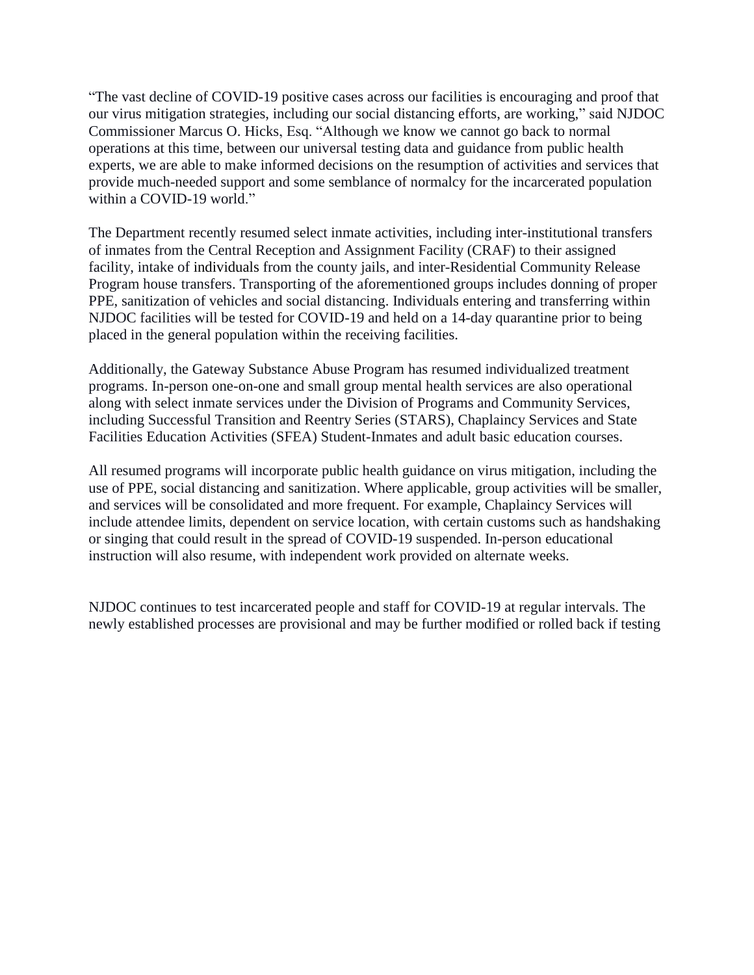"The vast decline of COVID-19 positive cases across our facilities is encouraging and proof that our virus mitigation strategies, including our social distancing efforts, are working," said NJDOC Commissioner Marcus O. Hicks, Esq. "Although we know we cannot go back to normal operations at this time, between our universal testing data and guidance from public health experts, we are able to make informed decisions on the resumption of activities and services that provide much-needed support and some semblance of normalcy for the incarcerated population within a COVID-19 world."

The Department recently resumed select inmate activities, including inter-institutional transfers of inmates from the Central Reception and Assignment Facility (CRAF) to their assigned facility, intake of individuals from the county jails, and inter-Residential Community Release Program house transfers. Transporting of the aforementioned groups includes donning of proper PPE, sanitization of vehicles and social distancing. Individuals entering and transferring within NJDOC facilities will be tested for COVID-19 and held on a 14-day quarantine prior to being placed in the general population within the receiving facilities.

Additionally, the Gateway Substance Abuse Program has resumed individualized treatment programs. In-person one-on-one and small group mental health services are also operational along with select inmate services under the Division of Programs and Community Services, including Successful Transition and Reentry Series (STARS), Chaplaincy Services and State Facilities Education Activities (SFEA) Student-Inmates and adult basic education courses.

All resumed programs will incorporate public health guidance on virus mitigation, including the use of PPE, social distancing and sanitization. Where applicable, group activities will be smaller, and services will be consolidated and more frequent. For example, Chaplaincy Services will include attendee limits, dependent on service location, with certain customs such as handshaking or singing that could result in the spread of COVID-19 suspended. In-person educational instruction will also resume, with independent work provided on alternate weeks.

NJDOC continues to test incarcerated people and staff for COVID-19 at regular intervals. The newly established processes are provisional and may be further modified or rolled back if testing